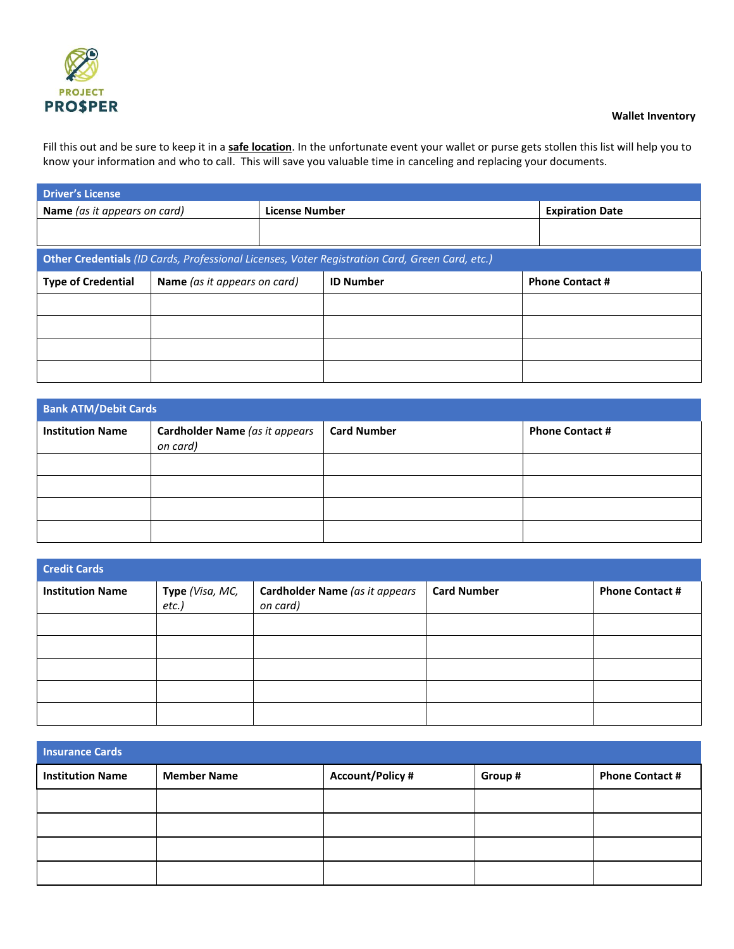

## **Wallet Inventory**

Fill this out and be sure to keep it in a **safe location**. In the unfortunate event your wallet or purse gets stollen this list will help you to know your information and who to call. This will save you valuable time in canceling and replacing your documents.

| <b>Driver's License</b>      |                                                                                                |                       |                  |                        |  |  |
|------------------------------|------------------------------------------------------------------------------------------------|-----------------------|------------------|------------------------|--|--|
| Name (as it appears on card) |                                                                                                | <b>License Number</b> |                  | <b>Expiration Date</b> |  |  |
|                              |                                                                                                |                       |                  |                        |  |  |
|                              | Other Credentials (ID Cards, Professional Licenses, Voter Registration Card, Green Card, etc.) |                       |                  |                        |  |  |
| <b>Type of Credential</b>    | Name (as it appears on card)                                                                   |                       | <b>ID Number</b> | <b>Phone Contact #</b> |  |  |
|                              |                                                                                                |                       |                  |                        |  |  |
|                              |                                                                                                |                       |                  |                        |  |  |
|                              |                                                                                                |                       |                  |                        |  |  |
|                              |                                                                                                |                       |                  |                        |  |  |

| <b>Bank ATM/Debit Cards</b>                                           |  |                    |                        |  |  |
|-----------------------------------------------------------------------|--|--------------------|------------------------|--|--|
| Cardholder Name (as it appears<br><b>Institution Name</b><br>on card) |  | <b>Card Number</b> | <b>Phone Contact #</b> |  |  |
|                                                                       |  |                    |                        |  |  |
|                                                                       |  |                    |                        |  |  |
|                                                                       |  |                    |                        |  |  |
|                                                                       |  |                    |                        |  |  |

| <b>Credit Cards</b>     |                             |                                            |                    |                        |  |
|-------------------------|-----------------------------|--------------------------------------------|--------------------|------------------------|--|
| <b>Institution Name</b> | Type (Visa, MC,<br>$etc.$ ) | Cardholder Name (as it appears<br>on card) | <b>Card Number</b> | <b>Phone Contact #</b> |  |
|                         |                             |                                            |                    |                        |  |
|                         |                             |                                            |                    |                        |  |
|                         |                             |                                            |                    |                        |  |
|                         |                             |                                            |                    |                        |  |
|                         |                             |                                            |                    |                        |  |

| <b>Insurance Cards</b>  |                    |                         |         |                        |  |
|-------------------------|--------------------|-------------------------|---------|------------------------|--|
| <b>Institution Name</b> | <b>Member Name</b> | <b>Account/Policy #</b> | Group # | <b>Phone Contact #</b> |  |
|                         |                    |                         |         |                        |  |
|                         |                    |                         |         |                        |  |
|                         |                    |                         |         |                        |  |
|                         |                    |                         |         |                        |  |